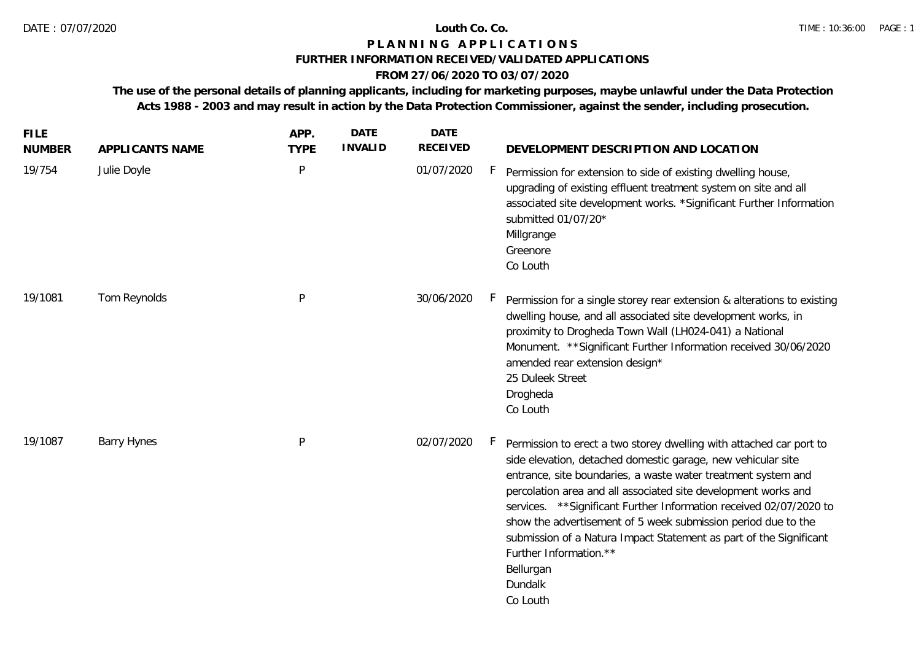### **P L A N N I N G A P P L I C A T I O N S**

### **FURTHER INFORMATION RECEIVED/VALIDATED APPLICATIONS**

# **FROM 27/06/2020 TO 03/07/2020**

**The use of the personal details of planning applicants, including for marketing purposes, maybe unlawful under the Data Protection Acts 1988 - 2003 and may result in action by the Data Protection Commissioner, against the sender, including prosecution.**

| <b>FILE</b><br><b>NUMBER</b> | APPLICANTS NAME    | APP.<br><b>TYPE</b> | <b>DATE</b><br><b>INVALID</b> | <b>DATE</b><br><b>RECEIVED</b> | DEVELOPMENT DESCRIPTION AND LOCATION                                                                                                                                                                                                                                                                                                                                                                                                                                                                                                                     |
|------------------------------|--------------------|---------------------|-------------------------------|--------------------------------|----------------------------------------------------------------------------------------------------------------------------------------------------------------------------------------------------------------------------------------------------------------------------------------------------------------------------------------------------------------------------------------------------------------------------------------------------------------------------------------------------------------------------------------------------------|
| 19/754                       | Julie Doyle        | P                   |                               | 01/07/2020                     | F.<br>Permission for extension to side of existing dwelling house,<br>upgrading of existing effluent treatment system on site and all<br>associated site development works. *Significant Further Information<br>submitted 01/07/20*<br>Millgrange<br>Greenore<br>Co Louth                                                                                                                                                                                                                                                                                |
| 19/1081                      | Tom Reynolds       | P                   |                               | 30/06/2020                     | h,<br>Permission for a single storey rear extension & alterations to existing<br>dwelling house, and all associated site development works, in<br>proximity to Drogheda Town Wall (LH024-041) a National<br>Monument. ** Significant Further Information received 30/06/2020<br>amended rear extension design*<br>25 Duleek Street<br>Drogheda<br>Co Louth                                                                                                                                                                                               |
| 19/1087                      | <b>Barry Hynes</b> | P                   |                               | 02/07/2020                     | F.<br>Permission to erect a two storey dwelling with attached car port to<br>side elevation, detached domestic garage, new vehicular site<br>entrance, site boundaries, a waste water treatment system and<br>percolation area and all associated site development works and<br>services. ** Significant Further Information received 02/07/2020 to<br>show the advertisement of 5 week submission period due to the<br>submission of a Natura Impact Statement as part of the Significant<br>Further Information.**<br>Bellurgan<br>Dundalk<br>Co Louth |